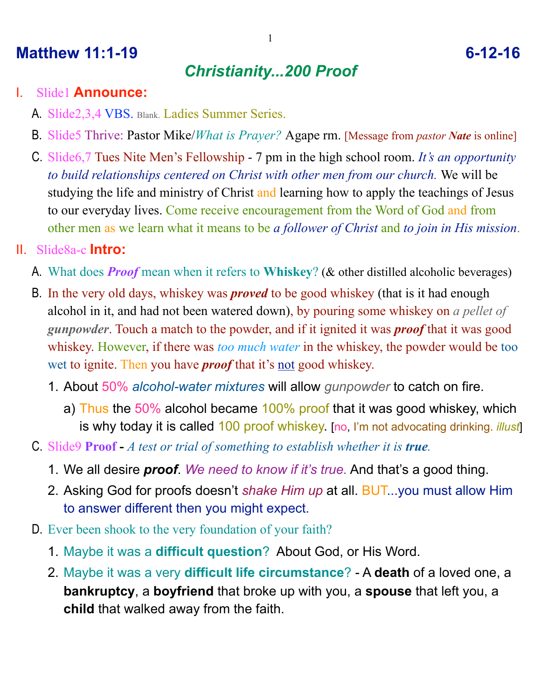## **Matthew 11:1-19** 6-12-16

# *Christianity...200 Proof*

1

#### I. Slide1 **Announce:**

- A. Slide2,3,4 VBS. Blank. Ladies Summer Series.
- B. Slide5 Thrive: Pastor Mike/*What is Prayer?* Agape rm. [Message from *pastor Nate* is online]
- C. Slide6,7 Tues Nite Men's Fellowship 7 pm in the high school room. *It's an opportunity to build relationships centered on Christ with other men from our church.* We will be studying the life and ministry of Christ and learning how to apply the teachings of Jesus to our everyday lives. Come receive encouragement from the Word of God and from other men as we learn what it means to be *a follower of Christ* and *to join in His mission*.

#### II. Slide8a-c **Intro:**

- A. What does *Proof* mean when it refers to **Whiskey**? (& other distilled alcoholic beverages)
- B. In the very old days, whiskey was *proved* to be good whiskey (that is it had enough alcohol in it, and had not been watered down), by pouring some whiskey on *a pellet of gunpowder*. Touch a match to the powder, and if it ignited it was *proof* that it was good whiskey. However, if there was *too much water* in the whiskey, the powder would be too wet to ignite. Then you have *proof* that it's not good whiskey.
	- 1. About 50% *alcohol-water mixtures* will allow *gunpowder* to catch on fire.
		- a) Thus the 50% alcohol became 100% proof that it was good whiskey, which is why today it is called 100 proof whiskey. [no, I'm not advocating drinking. *illust*]
- C. Slide9 **Proof** *A test or trial of something to establish whether it is true.*
	- 1. We all desire *proof*. *We need to know if it's true.* And that's a good thing.
	- 2. Asking God for proofs doesn't *shake Him up* at all. BUT...you must allow Him to answer different then you might expect.
- D. Ever been shook to the very foundation of your faith?
	- 1. Maybe it was a **difficult question**? About God, or His Word.
	- 2. Maybe it was a very **difficult life circumstance**? A **death** of a loved one, a **bankruptcy**, a **boyfriend** that broke up with you, a **spouse** that left you, a **child** that walked away from the faith.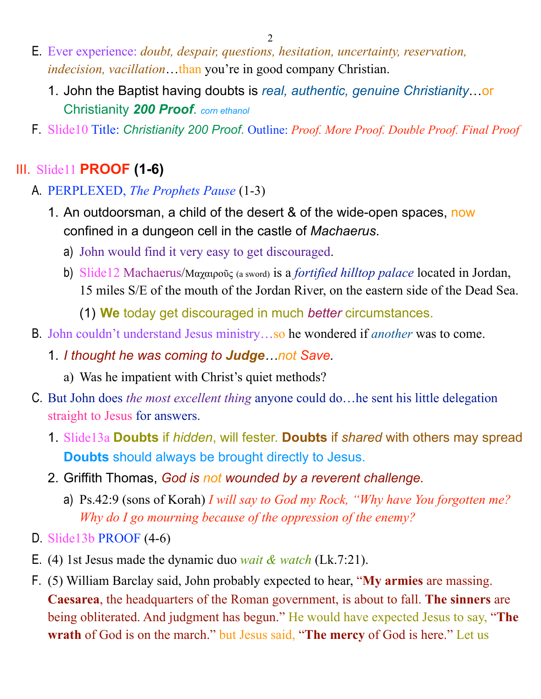2

- E. Ever experience: *doubt, despair, questions, hesitation, uncertainty, reservation, indecision, vacillation*…than you're in good company Christian.
	- 1. John the Baptist having doubts is *real, authentic, genuine Christianity*…or Christianity *200 Proof*. *corn ethanol*
- F. Slide10 Title: *Christianity 200 Proof.* Outline: *Proof. More Proof. Double Proof. Final Proof*

## III. Slide11 **PROOF (1-6)**

- A. PERPLEXED, *The Prophets Pause* (1-3)
	- 1. An outdoorsman, a child of the desert & of the wide-open spaces, now confined in a dungeon cell in the castle of *Machaerus*.
		- a) John would find it very easy to get discouraged.
		- b) Slide12 Machaerus/Μαχαιροῦς (a sword) is a *fortified hilltop palace* located in Jordan, 15 miles S/E of the mouth of the Jordan River, on the eastern side of the Dead Sea.
			- (1) **We** today get discouraged in much *better* circumstances.
- B. John couldn't understand Jesus ministry…so he wondered if *another* was to come.
	- 1. *I thought he was coming to Judge…not Save.*
		- a) Was he impatient with Christ's quiet methods?
- C. But John does *the most excellent thing* anyone could do…he sent his little delegation straight to Jesus for answers.
	- 1. Slide13a **Doubts** if *hidden*, will fester. **Doubts** if *shared* with others may spread **Doubts** should always be brought directly to Jesus.
	- 2. Griffith Thomas, *God is not wounded by a reverent challenge.*
		- a) Ps.42:9 (sons of Korah) *I will say to God my Rock, "Why have You forgotten me? Why do I go mourning because of the oppression of the enemy?*
- D. Slide13b PROOF (4-6)
- E. (4) 1st Jesus made the dynamic duo *wait & watch* (Lk.7:21).
- F. (5) William Barclay said, John probably expected to hear, "**My armies** are massing. **Caesarea**, the headquarters of the Roman government, is about to fall. **The sinners** are being obliterated. And judgment has begun." He would have expected Jesus to say, "**The wrath** of God is on the march." but Jesus said, "**The mercy** of God is here." Let us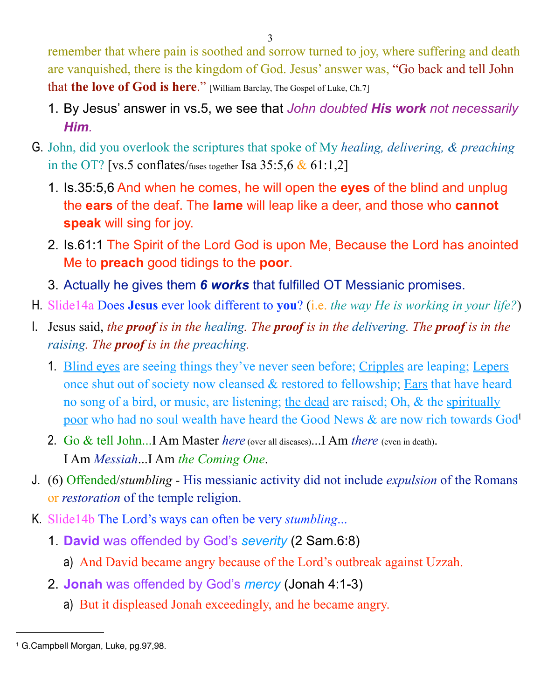remember that where pain is soothed and sorrow turned to joy, where suffering and death are vanquished, there is the kingdom of God. Jesus' answer was, "Go back and tell John that **the love of God is here.**" [William Barclay, The Gospel of Luke, Ch.7]

- 1. By Jesus' answer in vs.5, we see that *John doubted His work not necessarily Him.*
- G. John, did you overlook the scriptures that spoke of My *healing, delivering, & preaching* in the OT? [vs.5 conflates/fuses together Isa  $35:5,6 \& 61:1,2$ ]
	- 1. Is.35:5,6 And when he comes, he will open the **eyes** of the blind and unplug the **ears** of the deaf. The **lame** will leap like a deer, and those who **cannot speak** will sing for joy.
	- 2. Is.61:1 The Spirit of the Lord God is upon Me, Because the Lord has anointed Me to **preach** good tidings to the **poor**.
	- 3. Actually he gives them *6 works* that fulfilled OT Messianic promises.
- H. Slide14a Does **Jesus** ever look different to **you**? (i.e. *the way He is working in your life?*)
- I. Jesus said, *the proof is in the healing. The proof is in the delivering. The proof is in the raising. The proof is in the preaching.*
	- 1. Blind eyes are seeing things they've never seen before; Cripples are leaping; Lepers once shut out of society now cleansed & restored to fellowship; Ears that have heard no song of a bird, or music, are listening; the dead are raised; Oh, & the spiritually poor who had no soul wealth have heard the Good News & are now rich towards Go[d1](#page-2-0)
	- 2. Go & tell John...I Am Master *here* (over all diseases)...I Am *there* (even in death). I Am *Messiah*...I Am *the Coming One*.
- J. (6) Offended/*stumbling* His messianic activity did not include *expulsion* of the Romans or *restoration* of the temple religion.
- K. Slide14b The Lord's ways can often be very *stumbling*...
	- 1. **David** was offended by God's *severity* (2 Sam.6:8)
		- a) And David became angry because of the Lord's outbreak against Uzzah.
	- 2. **Jonah** was offended by God's *mercy* (Jonah 4:1-3)
		- a) But it displeased Jonah exceedingly, and he became angry.

<span id="page-2-0"></span><sup>1</sup> G.Campbell Morgan, Luke, pg.97,98.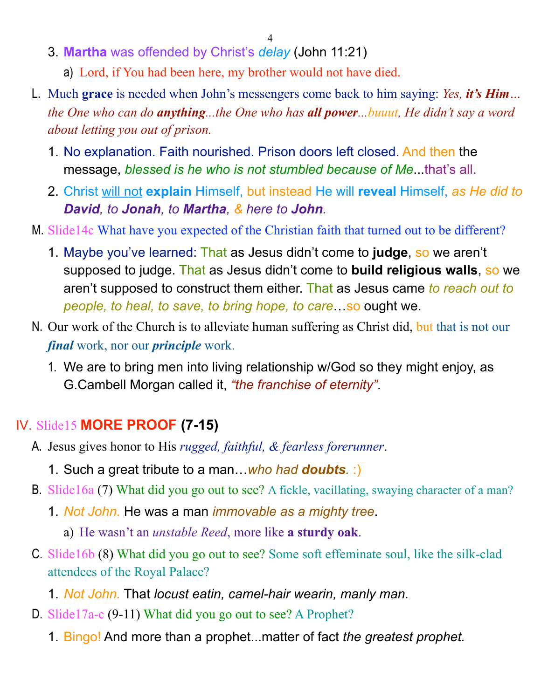- 4
- 3. **Martha** was offended by Christ's *delay* (John 11:21)
	- a) Lord, if You had been here, my brother would not have died.
- L. Much **grace** is needed when John's messengers come back to him saying: *Yes, it's Him… the One who can do anything...the One who has all power...buuut, He didn't say a word about letting you out of prison.* 
	- 1. No explanation. Faith nourished. Prison doors left closed. And then the message, *blessed is he who is not stumbled because of Me*...that's all.
	- 2. Christ will not **explain** Himself, but instead He will **reveal** Himself, *as He did to David, to Jonah, to Martha, & here to John.*
- M. Slide14c What have you expected of the Christian faith that turned out to be different?
	- 1. Maybe you've learned: That as Jesus didn't come to **judge**, so we aren't supposed to judge. That as Jesus didn't come to **build religious walls**, so we aren't supposed to construct them either. That as Jesus came *to reach out to people, to heal, to save, to bring hope, to care*…so ought we.
- N. Our work of the Church is to alleviate human suffering as Christ did, but that is not our *final* work, nor our *principle* work.
	- 1. We are to bring men into living relationship w/God so they might enjoy, as G.Cambell Morgan called it, *"the franchise of eternity"*.

#### IV. Slide15 **MORE PROOF (7-15)**

- A. Jesus gives honor to His *rugged, faithful, & fearless forerunner*.
	- 1. Such a great tribute to a man…*who had doubts.* :)
- B. Slide16a (7) What did you go out to see? A fickle, vacillating, swaying character of a man?
	- 1. *Not John.* He was a man *immovable as a mighty tree*.
		- a) He wasn't an *unstable Reed*, more like **a sturdy oak**.
- C. Slide16b (8) What did you go out to see? Some soft effeminate soul, like the silk-clad attendees of the Royal Palace?
	- 1. *Not John.* That *locust eatin, camel-hair wearin, manly man.*
- D. Slide17a-c (9-11) What did you go out to see? A Prophet?
	- 1. Bingo! And more than a prophet...matter of fact *the greatest prophet.*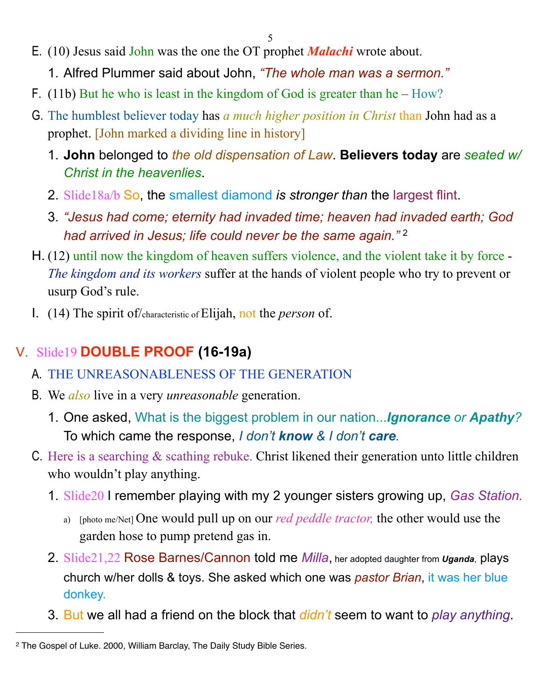- E. (10) Jesus said John was the one the OT prophet *Malachi* wrote about.
	- 1. Alfred Plummer said about John, *"The whole man was a sermon."*
- F. (11b) But he who is least in the kingdom of God is greater than he How?
- G. The humblest believer today has *a much higher position in Christ* than John had as a prophet. [John marked a dividing line in history]
	- 1. **John** belonged to *the old dispensation of Law*. **Believers today** are *seated w/ Christ in the heavenlies*.
	- 2. Slide18a/b So, the smallest diamond *is stronger than* the largest flint.
	- 3. *"Jesus had come; eternity had invaded time; heaven had invaded earth; God had arrived in Jesus; life could never be the same again."* [2](#page-4-0)
- H. (12) until now the kingdom of heaven suffers violence, and the violent take it by force *The kingdom and its workers* suffer at the hands of violent people who try to prevent or usurp God's rule.
- I. (14) The spirit of/characteristic of Elijah, not the *person* of.

# V. Slide19 **DOUBLE PROOF (16-19a)**

- A. THE UNREASONABLENESS OF THE GENERATION
- B. We *also* live in a very *unreasonable* generation.
	- 1. One asked, What is the biggest problem in our nation...*Ignorance or Apathy?* To which came the response, *I don't know & I don't care.*
- C. Here is a searching & scathing rebuke. Christ likened their generation unto little children who wouldn't play anything.
	- 1. Slide20 I remember playing with my 2 younger sisters growing up, *Gas Station.*
		- a) [photo me/Net] One would pull up on our *red peddle tractor,* the other would use the garden hose to pump pretend gas in.
	- 2. Slide21,22 Rose Barnes/Cannon told me *Milla*, her adopted daughter from *Uganda*, plays church w/her dolls & toys. She asked which one was *pastor Brian*, it was her blue donkey.
	- 3. But we all had a friend on the block that *didn't* seem to want to *play anything*.

<span id="page-4-0"></span><sup>2</sup> The Gospel of Luke. 2000, William Barclay, The Daily Study Bible Series.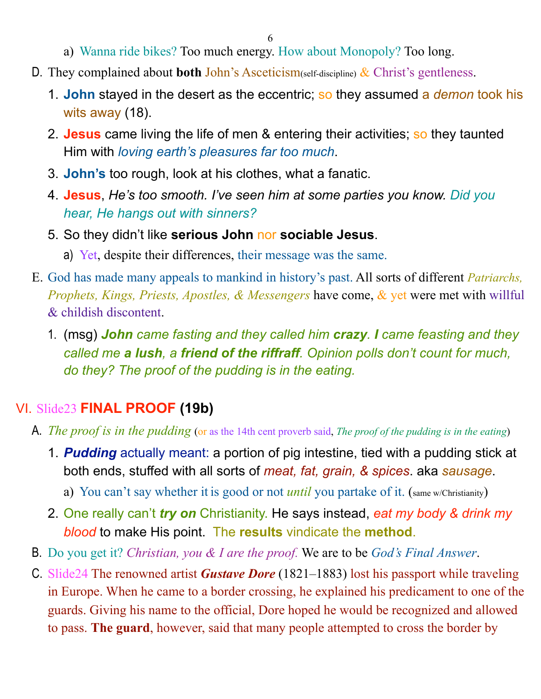6

- a) Wanna ride bikes? Too much energy. How about Monopoly? Too long.
- D. They complained about **both** John's Asceticism(self-discipline) & Christ's gentleness.
	- 1. **John** stayed in the desert as the eccentric; so they assumed a *demon* took his wits away (18).
	- 2. **Jesus** came living the life of men & entering their activities; so they taunted Him with *loving earth's pleasures far too much*.
	- 3. **John's** too rough, look at his clothes, what a fanatic.
	- 4. **Jesus**, *He's too smooth. I've seen him at some parties you know. Did you hear, He hangs out with sinners?*
	- 5. So they didn't like **serious John** nor **sociable Jesus**.
		- a) Yet, despite their differences, their message was the same.
- E. God has made many appeals to mankind in history's past. All sorts of different *Patriarchs, Prophets, Kings, Priests, Apostles, & Messengers* have come, & yet were met with willful & childish discontent.
	- 1. (msg) *John came fasting and they called him crazy. I came feasting and they called me a lush, a friend of the riffraff. Opinion polls don't count for much, do they? The proof of the pudding is in the eating.*

# VI. Slide23 **FINAL PROOF (19b)**

- A. *The proof is in the pudding* (or as the 14th cent proverb said, *The proof of the pudding is in the eating*)
	- 1. *Pudding* actually meant: a portion of pig intestine, tied with a pudding stick at both ends, stuffed with all sorts of *meat, fat, grain, & spices*. aka *sausage*.
		- a) You can't say whether it is good or not *until* you partake of it. (same w/Christianity)
	- 2. One really can't *try on* Christianity. He says instead, *eat my body & drink my blood* to make His point. The **results** vindicate the **method**.
- B. Do you get it? *Christian, you & I are the proof.* We are to be *God's Final Answer*.
- C. Slide24 The renowned artist *Gustave Dore* (1821–1883) lost his passport while traveling in Europe. When he came to a border crossing, he explained his predicament to one of the guards. Giving his name to the official, Dore hoped he would be recognized and allowed to pass. **The guard**, however, said that many people attempted to cross the border by